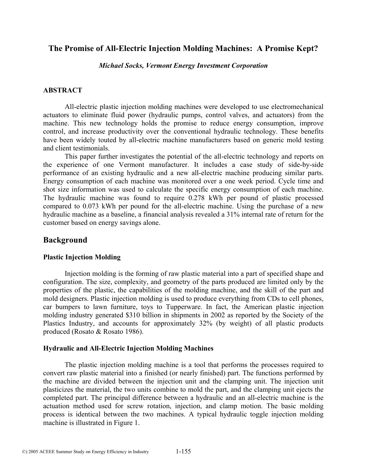# **The Promise of All-Electric Injection Molding Machines: A Promise Kept?**

*Michael Socks, Vermont Energy Investment Corporation* 

#### **ABSTRACT**

All-electric plastic injection molding machines were developed to use electromechanical actuators to eliminate fluid power (hydraulic pumps, control valves, and actuators) from the machine. This new technology holds the promise to reduce energy consumption, improve control, and increase productivity over the conventional hydraulic technology. These benefits have been widely touted by all-electric machine manufacturers based on generic mold testing and client testimonials.

 This paper further investigates the potential of the all-electric technology and reports on the experience of one Vermont manufacturer. It includes a case study of side-by-side performance of an existing hydraulic and a new all-electric machine producing similar parts. Energy consumption of each machine was monitored over a one week period. Cycle time and shot size information was used to calculate the specific energy consumption of each machine. The hydraulic machine was found to require 0.278 kWh per pound of plastic processed compared to 0.073 kWh per pound for the all-electric machine. Using the purchase of a new hydraulic machine as a baseline, a financial analysis revealed a 31% internal rate of return for the customer based on energy savings alone.

# **Background**

#### **Plastic Injection Molding**

Injection molding is the forming of raw plastic material into a part of specified shape and configuration. The size, complexity, and geometry of the parts produced are limited only by the properties of the plastic, the capabilities of the molding machine, and the skill of the part and mold designers. Plastic injection molding is used to produce everything from CDs to cell phones, car bumpers to lawn furniture, toys to Tupperware. In fact, the American plastic injection molding industry generated \$310 billion in shipments in 2002 as reported by the Society of the Plastics Industry, and accounts for approximately 32% (by weight) of all plastic products produced (Rosato & Rosato 1986).

#### **Hydraulic and All-Electric Injection Molding Machines**

The plastic injection molding machine is a tool that performs the processes required to convert raw plastic material into a finished (or nearly finished) part. The functions performed by the machine are divided between the injection unit and the clamping unit. The injection unit plasticizes the material, the two units combine to mold the part, and the clamping unit ejects the completed part. The principal difference between a hydraulic and an all-electric machine is the actuation method used for screw rotation, injection, and clamp motion. The basic molding process is identical between the two machines. A typical hydraulic toggle injection molding machine is illustrated in Figure 1.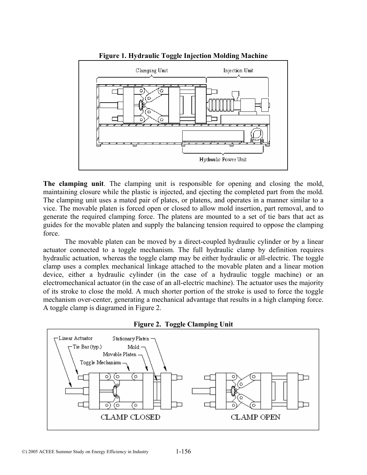

**Figure 1. Hydraulic Toggle Injection Molding Machine** 

**The clamping unit**. The clamping unit is responsible for opening and closing the mold, maintaining closure while the plastic is injected, and ejecting the completed part from the mold. The clamping unit uses a mated pair of plates, or platens, and operates in a manner similar to a vice. The movable platen is forced open or closed to allow mold insertion, part removal, and to generate the required clamping force. The platens are mounted to a set of tie bars that act as guides for the movable platen and supply the balancing tension required to oppose the clamping force.

The movable platen can be moved by a direct-coupled hydraulic cylinder or by a linear actuator connected to a toggle mechanism. The full hydraulic clamp by definition requires hydraulic actuation, whereas the toggle clamp may be either hydraulic or all-electric. The toggle clamp uses a complex mechanical linkage attached to the movable platen and a linear motion device, either a hydraulic cylinder (in the case of a hydraulic toggle machine) or an electromechanical actuator (in the case of an all-electric machine). The actuator uses the majority of its stroke to close the mold. A much shorter portion of the stroke is used to force the toggle mechanism over-center, generating a mechanical advantage that results in a high clamping force. A toggle clamp is diagramed in Figure 2.



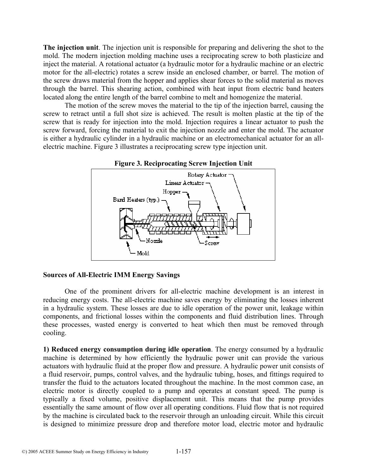**The injection unit**. The injection unit is responsible for preparing and delivering the shot to the mold. The modern injection molding machine uses a reciprocating screw to both plasticize and inject the material. A rotational actuator (a hydraulic motor for a hydraulic machine or an electric motor for the all-electric) rotates a screw inside an enclosed chamber, or barrel. The motion of the screw draws material from the hopper and applies shear forces to the solid material as moves through the barrel. This shearing action, combined with heat input from electric band heaters located along the entire length of the barrel combine to melt and homogenize the material.

The motion of the screw moves the material to the tip of the injection barrel, causing the screw to retract until a full shot size is achieved. The result is molten plastic at the tip of the screw that is ready for injection into the mold. Injection requires a linear actuator to push the screw forward, forcing the material to exit the injection nozzle and enter the mold. The actuator is either a hydraulic cylinder in a hydraulic machine or an electromechanical actuator for an allelectric machine. Figure 3 illustrates a reciprocating screw type injection unit.



**Figure 3. Reciprocating Screw Injection Unit** 

#### **Sources of All-Electric IMM Energy Savings**

One of the prominent drivers for all-electric machine development is an interest in reducing energy costs. The all-electric machine saves energy by eliminating the losses inherent in a hydraulic system. These losses are due to idle operation of the power unit, leakage within components, and frictional losses within the components and fluid distribution lines. Through these processes, wasted energy is converted to heat which then must be removed through cooling.

**1) Reduced energy consumption during idle operation**. The energy consumed by a hydraulic machine is determined by how efficiently the hydraulic power unit can provide the various actuators with hydraulic fluid at the proper flow and pressure. A hydraulic power unit consists of a fluid reservoir, pumps, control valves, and the hydraulic tubing, hoses, and fittings required to transfer the fluid to the actuators located throughout the machine. In the most common case, an electric motor is directly coupled to a pump and operates at constant speed. The pump is typically a fixed volume, positive displacement unit. This means that the pump provides essentially the same amount of flow over all operating conditions. Fluid flow that is not required by the machine is circulated back to the reservoir through an unloading circuit. While this circuit is designed to minimize pressure drop and therefore motor load, electric motor and hydraulic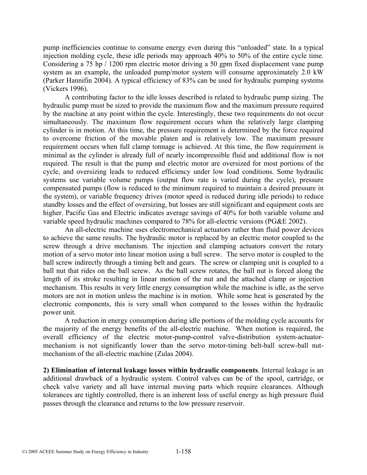pump inefficiencies continue to consume energy even during this "unloaded" state. In a typical injection molding cycle, these idle periods may approach 40% to 50% of the entire cycle time. Considering a 75 hp / 1200 rpm electric motor driving a 50 gpm fixed displacement vane pump system as an example, the unloaded pump/motor system will consume approximately 2.0 kW (Parker Hannifin 2004). A typical efficiency of 83% can be used for hydraulic pumping systems (Vickers 1996).

A contributing factor to the idle losses described is related to hydraulic pump sizing. The hydraulic pump must be sized to provide the maximum flow and the maximum pressure required by the machine at any point within the cycle. Interestingly, these two requirements do not occur simultaneously. The maximum flow requirement occurs when the relatively large clamping cylinder is in motion. At this time, the pressure requirement is determined by the force required to overcome friction of the movable platen and is relatively low. The maximum pressure requirement occurs when full clamp tonnage is achieved. At this time, the flow requirement is minimal as the cylinder is already full of nearly incompressible fluid and additional flow is not required. The result is that the pump and electric motor are oversized for most portions of the cycle, and oversizing leads to reduced efficiency under low load conditions. Some hydraulic systems use variable volume pumps (output flow rate is varied during the cycle), pressure compensated pumps (flow is reduced to the minimum required to maintain a desired pressure in the system), or variable frequency drives (motor speed is reduced during idle periods) to reduce standby losses and the effect of oversizing, but losses are still significant and equipment costs are higher. Pacific Gas and Electric indicates average savings of 40% for both variable volume and variable speed hydraulic machines compared to 78% for all-electric versions (PG&E 2002).

An all-electric machine uses electromechanical actuators rather than fluid power devices to achieve the same results. The hydraulic motor is replaced by an electric motor coupled to the screw through a drive mechanism. The injection and clamping actuators convert the rotary motion of a servo motor into linear motion using a ball screw. The servo motor is coupled to the ball screw indirectly through a timing belt and gears. The screw or clamping unit is coupled to a ball nut that rides on the ball screw. As the ball screw rotates, the ball nut is forced along the length of its stroke resulting in linear motion of the nut and the attached clamp or injection mechanism. This results in very little energy consumption while the machine is idle, as the servo motors are not in motion unless the machine is in motion. While some heat is generated by the electronic components, this is very small when compared to the losses within the hydraulic power unit.

A reduction in energy consumption during idle portions of the molding cycle accounts for the majority of the energy benefits of the all-electric machine. When motion is required, the overall efficiency of the electric motor-pump-control valve-distribution system-actuatormechanism is not significantly lower than the servo motor-timing belt-ball screw-ball nutmechanism of the all-electric machine (Zulas 2004).

**2) Elimination of internal leakage losses within hydraulic components**. Internal leakage is an additional drawback of a hydraulic system. Control valves can be of the spool, cartridge, or check valve variety and all have internal moving parts which require clearances. Although tolerances are tightly controlled, there is an inherent loss of useful energy as high pressure fluid passes through the clearance and returns to the low pressure reservoir.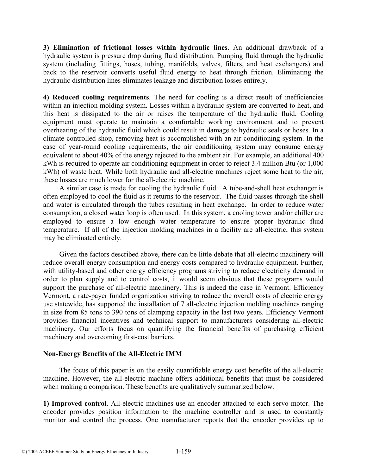**3) Elimination of frictional losses within hydraulic lines**. An additional drawback of a hydraulic system is pressure drop during fluid distribution. Pumping fluid through the hydraulic system (including fittings, hoses, tubing, manifolds, valves, filters, and heat exchangers) and back to the reservoir converts useful fluid energy to heat through friction. Eliminating the hydraulic distribution lines eliminates leakage and distribution losses entirely.

**4) Reduced cooling requirements**. The need for cooling is a direct result of inefficiencies within an injection molding system. Losses within a hydraulic system are converted to heat, and this heat is dissipated to the air or raises the temperature of the hydraulic fluid. Cooling equipment must operate to maintain a comfortable working environment and to prevent overheating of the hydraulic fluid which could result in damage to hydraulic seals or hoses. In a climate controlled shop, removing heat is accomplished with an air conditioning system. In the case of year-round cooling requirements, the air conditioning system may consume energy equivalent to about 40% of the energy rejected to the ambient air. For example, an additional 400 kWh is required to operate air conditioning equipment in order to reject 3.4 million Btu (or 1,000 kWh) of waste heat. While both hydraulic and all-electric machines reject some heat to the air, these losses are much lower for the all-electric machine.

A similar case is made for cooling the hydraulic fluid. A tube-and-shell heat exchanger is often employed to cool the fluid as it returns to the reservoir. The fluid passes through the shell and water is circulated through the tubes resulting in heat exchange. In order to reduce water consumption, a closed water loop is often used. In this system, a cooling tower and/or chiller are employed to ensure a low enough water temperature to ensure proper hydraulic fluid temperature. If all of the injection molding machines in a facility are all-electric, this system may be eliminated entirely.

Given the factors described above, there can be little debate that all-electric machinery will reduce overall energy consumption and energy costs compared to hydraulic equipment. Further, with utility-based and other energy efficiency programs striving to reduce electricity demand in order to plan supply and to control costs, it would seem obvious that these programs would support the purchase of all-electric machinery. This is indeed the case in Vermont. Efficiency Vermont, a rate-payer funded organization striving to reduce the overall costs of electric energy use statewide, has supported the installation of 7 all-electric injection molding machines ranging in size from 85 tons to 390 tons of clamping capacity in the last two years. Efficiency Vermont provides financial incentives and technical support to manufacturers considering all-electric machinery. Our efforts focus on quantifying the financial benefits of purchasing efficient machinery and overcoming first-cost barriers.

#### **Non-Energy Benefits of the All-Electric IMM**

The focus of this paper is on the easily quantifiable energy cost benefits of the all-electric machine. However, the all-electric machine offers additional benefits that must be considered when making a comparison. These benefits are qualitatively summarized below.

**1) Improved control**. All-electric machines use an encoder attached to each servo motor. The encoder provides position information to the machine controller and is used to constantly monitor and control the process. One manufacturer reports that the encoder provides up to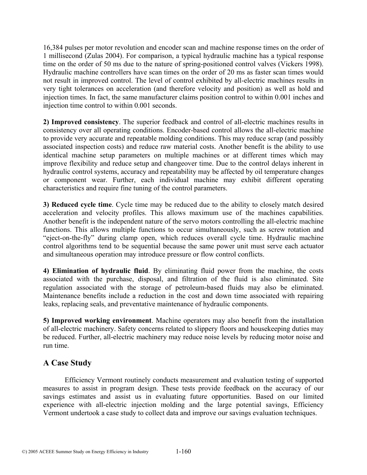16,384 pulses per motor revolution and encoder scan and machine response times on the order of 1 millisecond (Zulas 2004). For comparison, a typical hydraulic machine has a typical response time on the order of 50 ms due to the nature of spring-positioned control valves (Vickers 1998). Hydraulic machine controllers have scan times on the order of 20 ms as faster scan times would not result in improved control. The level of control exhibited by all-electric machines results in very tight tolerances on acceleration (and therefore velocity and position) as well as hold and injection times. In fact, the same manufacturer claims position control to within 0.001 inches and injection time control to within 0.001 seconds.

**2) Improved consistency**. The superior feedback and control of all-electric machines results in consistency over all operating conditions. Encoder-based control allows the all-electric machine to provide very accurate and repeatable molding conditions. This may reduce scrap (and possibly associated inspection costs) and reduce raw material costs. Another benefit is the ability to use identical machine setup parameters on multiple machines or at different times which may improve flexibility and reduce setup and changeover time. Due to the control delays inherent in hydraulic control systems, accuracy and repeatability may be affected by oil temperature changes or component wear. Further, each individual machine may exhibit different operating characteristics and require fine tuning of the control parameters.

**3) Reduced cycle time**. Cycle time may be reduced due to the ability to closely match desired acceleration and velocity profiles. This allows maximum use of the machines capabilities. Another benefit is the independent nature of the servo motors controlling the all-electric machine functions. This allows multiple functions to occur simultaneously, such as screw rotation and "eject-on-the-fly" during clamp open, which reduces overall cycle time. Hydraulic machine control algorithms tend to be sequential because the same power unit must serve each actuator and simultaneous operation may introduce pressure or flow control conflicts.

**4) Elimination of hydraulic fluid**. By eliminating fluid power from the machine, the costs associated with the purchase, disposal, and filtration of the fluid is also eliminated. Site regulation associated with the storage of petroleum-based fluids may also be eliminated. Maintenance benefits include a reduction in the cost and down time associated with repairing leaks, replacing seals, and preventative maintenance of hydraulic components.

**5) Improved working environment**. Machine operators may also benefit from the installation of all-electric machinery. Safety concerns related to slippery floors and housekeeping duties may be reduced. Further, all-electric machinery may reduce noise levels by reducing motor noise and run time.

# **A Case Study**

Efficiency Vermont routinely conducts measurement and evaluation testing of supported measures to assist in program design. These tests provide feedback on the accuracy of our savings estimates and assist us in evaluating future opportunities. Based on our limited experience with all-electric injection molding and the large potential savings, Efficiency Vermont undertook a case study to collect data and improve our savings evaluation techniques.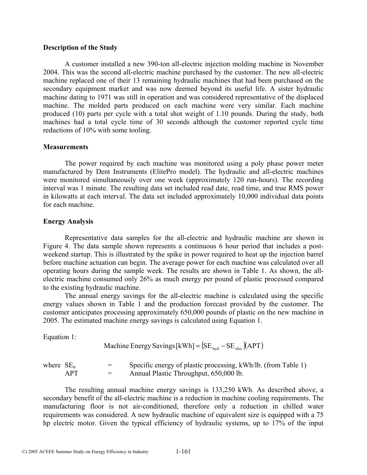#### **Description of the Study**

A customer installed a new 390-ton all-electric injection molding machine in November 2004. This was the second all-electric machine purchased by the customer. The new all-electric machine replaced one of their 13 remaining hydraulic machines that had been purchased on the secondary equipment market and was now deemed beyond its useful life. A sister hydraulic machine dating to 1971 was still in operation and was considered representative of the displaced machine. The molded parts produced on each machine were very similar. Each machine produced (10) parts per cycle with a total shot weight of 1.10 pounds. During the study, both machines had a total cycle time of 30 seconds although the customer reported cycle time reductions of 10% with some tooling.

#### **Measurements**

The power required by each machine was monitored using a poly phase power meter manufactured by Dent Instruments (ElitePro model). The hydraulic and all-electric machines were monitored simultaneously over one week (approximately 120 run-hours). The recording interval was 1 minute. The resulting data set included read date, read time, and true RMS power in kilowatts at each interval. The data set included approximately 10,000 individual data points for each machine.

#### **Energy Analysis**

Representative data samples for the all-electric and hydraulic machine are shown in Figure 4. The data sample shown represents a continuous 6 hour period that includes a postweekend startup. This is illustrated by the spike in power required to heat up the injection barrel before machine actuation can begin. The average power for each machine was calculated over all operating hours during the sample week. The results are shown in Table 1. As shown, the allelectric machine consumed only 26% as much energy per pound of plastic processed compared to the existing hydraulic machine.

The annual energy savings for the all-electric machine is calculated using the specific energy values shown in Table 1 and the production forecast provided by the customer. The customer anticipates processing approximately 650,000 pounds of plastic on the new machine in 2005. The estimated machine energy savings is calculated using Equation 1.

Equation 1:

Machine Energy Savings 
$$
[kWh] = (SE_{\text{hyd}} - SE_{\text{elec}})(APT)
$$

| where $SE_n$ | $=$     | Specific energy of plastic processing, kWh/lb. (from Table 1) |
|--------------|---------|---------------------------------------------------------------|
| APT          | $=$ $-$ | Annual Plastic Throughput, 650,000 lb.                        |

The resulting annual machine energy savings is 133,250 kWh. As described above, a secondary benefit of the all-electric machine is a reduction in machine cooling requirements. The manufacturing floor is not air-conditioned, therefore only a reduction in chilled water requirements was considered. A new hydraulic machine of equivalent size is equipped with a 75 hp electric motor. Given the typical efficiency of hydraulic systems, up to 17% of the input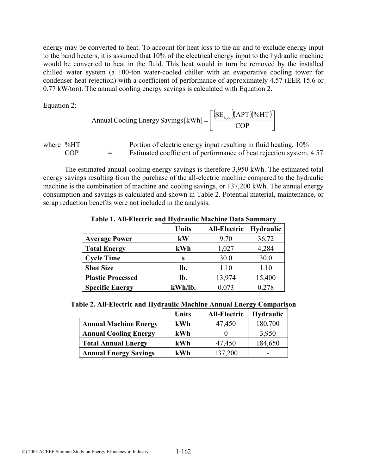energy may be converted to heat. To account for heat loss to the air and to exclude energy input to the band heaters, it is assumed that 10% of the electrical energy input to the hydraulic machine would be converted to heat in the fluid. This heat would in turn be removed by the installed chilled water system (a 100-ton water-cooled chiller with an evaporative cooling tower for condenser heat rejection) with a coefficient of performance of approximately 4.57 (EER 15.6 or 0.77 kW/ton). The annual cooling energy savings is calculated with Equation 2.

Equation 2:

$$
Annual Cooling Energy Savings [kWh] = \left[ \frac{(SE_{\text{hyd}})(APT)(%HT)}{COP} \right]
$$

where  $%HT =$  Portion of electric energy input resulting in fluid heating,  $10%$  $COP =$  Estimated coefficient of performance of heat rejection system, 4.57

The estimated annual cooling energy savings is therefore 3,950 kWh. The estimated total energy savings resulting from the purchase of the all-electric machine compared to the hydraulic machine is the combination of machine and cooling savings, or 137,200 kWh. The annual energy consumption and savings is calculated and shown in Table 2. Potential material, maintenance, or scrap reduction benefits were not included in the analysis.

|                          | <b>Units</b> | <b>All-Electric</b> | Hydraulic |
|--------------------------|--------------|---------------------|-----------|
| <b>Average Power</b>     | kW           | 9.70                | 36.72     |
| <b>Total Energy</b>      | kWh          | 1,027               | 4,284     |
| <b>Cycle Time</b>        | S            | 30.0                | 30.0      |
| <b>Shot Size</b>         | lb.          | 1.10                | 1.10      |
| <b>Plastic Processed</b> | lb.          | 13,974              | 15,400    |
| <b>Specific Energy</b>   | kWh/lb.      | 0.073               | 0.278     |

**Table 1. All-Electric and Hydraulic Machine Data Summary** 

|                              | <b>Units</b> | <b>All-Electric</b> | <b>Hydraulic</b> |
|------------------------------|--------------|---------------------|------------------|
| <b>Annual Machine Energy</b> | kWh          | 47,450              | 180,700          |
| <b>Annual Cooling Energy</b> | kWh          |                     | 3,950            |
| <b>Total Annual Energy</b>   | kWh          | 47,450              | 184,650          |
| <b>Annual Energy Savings</b> | kWh          | 137,200             |                  |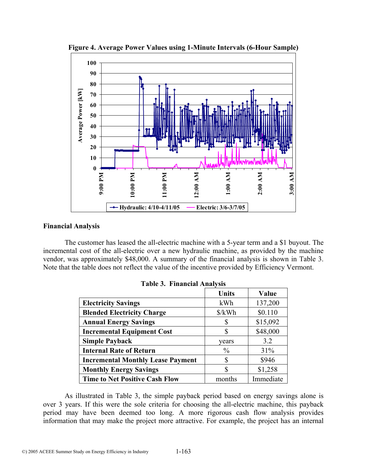

**Figure 4. Average Power Values using 1-Minute Intervals (6-Hour Sample)** 

### **Financial Analysis**

The customer has leased the all-electric machine with a 5-year term and a \$1 buyout. The incremental cost of the all-electric over a new hydraulic machine, as provided by the machine vendor, was approximately \$48,000. A summary of the financial analysis is shown in Table 3. Note that the table does not reflect the value of the incentive provided by Efficiency Vermont.

|                                          | <b>Units</b>         | Value     |
|------------------------------------------|----------------------|-----------|
| <b>Electricity Savings</b>               | kWh                  | 137,200   |
| <b>Blended Electricity Charge</b>        | $\frac{\sqrt{2}}{2}$ | \$0.110   |
| <b>Annual Energy Savings</b>             |                      | \$15,092  |
| <b>Incremental Equipment Cost</b>        | S                    | \$48,000  |
| <b>Simple Payback</b>                    | vears                | 3.2       |
| <b>Internal Rate of Return</b>           | $\frac{0}{0}$        | 31%       |
| <b>Incremental Monthly Lease Payment</b> | S                    | \$946     |
| <b>Monthly Energy Savings</b>            | S                    | \$1,258   |
| <b>Time to Net Positive Cash Flow</b>    | months               | Immediate |

|  |  | <b>Table 3. Financial Analysis</b> |  |
|--|--|------------------------------------|--|
|--|--|------------------------------------|--|

As illustrated in Table 3, the simple payback period based on energy savings alone is over 3 years. If this were the sole criteria for choosing the all-electric machine, this payback period may have been deemed too long. A more rigorous cash flow analysis provides information that may make the project more attractive. For example, the project has an internal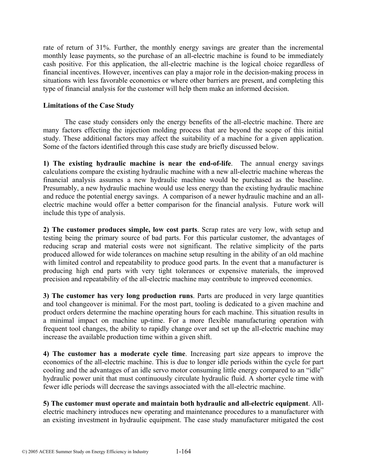rate of return of 31%. Further, the monthly energy savings are greater than the incremental monthly lease payments, so the purchase of an all-electric machine is found to be immediately cash positive. For this application, the all-electric machine is the logical choice regardless of financial incentives. However, incentives can play a major role in the decision-making process in situations with less favorable economics or where other barriers are present, and completing this type of financial analysis for the customer will help them make an informed decision.

### **Limitations of the Case Study**

The case study considers only the energy benefits of the all-electric machine. There are many factors effecting the injection molding process that are beyond the scope of this initial study. These additional factors may affect the suitability of a machine for a given application. Some of the factors identified through this case study are briefly discussed below.

**1) The existing hydraulic machine is near the end-of-life**. The annual energy savings calculations compare the existing hydraulic machine with a new all-electric machine whereas the financial analysis assumes a new hydraulic machine would be purchased as the baseline. Presumably, a new hydraulic machine would use less energy than the existing hydraulic machine and reduce the potential energy savings. A comparison of a newer hydraulic machine and an allelectric machine would offer a better comparison for the financial analysis. Future work will include this type of analysis.

**2) The customer produces simple, low cost parts**. Scrap rates are very low, with setup and testing being the primary source of bad parts. For this particular customer, the advantages of reducing scrap and material costs were not significant. The relative simplicity of the parts produced allowed for wide tolerances on machine setup resulting in the ability of an old machine with limited control and repeatability to produce good parts. In the event that a manufacturer is producing high end parts with very tight tolerances or expensive materials, the improved precision and repeatability of the all-electric machine may contribute to improved economics.

**3) The customer has very long production runs**. Parts are produced in very large quantities and tool changeover is minimal. For the most part, tooling is dedicated to a given machine and product orders determine the machine operating hours for each machine. This situation results in a minimal impact on machine up-time. For a more flexible manufacturing operation with frequent tool changes, the ability to rapidly change over and set up the all-electric machine may increase the available production time within a given shift.

**4) The customer has a moderate cycle time**. Increasing part size appears to improve the economics of the all-electric machine. This is due to longer idle periods within the cycle for part cooling and the advantages of an idle servo motor consuming little energy compared to an "idle" hydraulic power unit that must continuously circulate hydraulic fluid. A shorter cycle time with fewer idle periods will decrease the savings associated with the all-electric machine.

**5) The customer must operate and maintain both hydraulic and all-electric equipment**. Allelectric machinery introduces new operating and maintenance procedures to a manufacturer with an existing investment in hydraulic equipment. The case study manufacturer mitigated the cost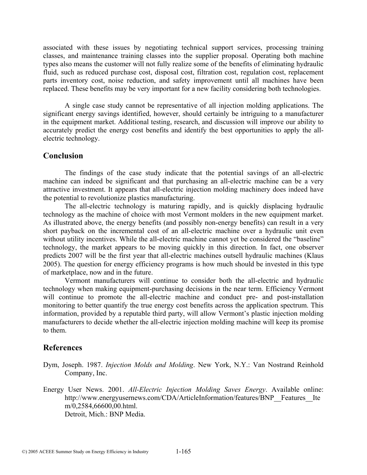associated with these issues by negotiating technical support services, processing training classes, and maintenance training classes into the supplier proposal. Operating both machine types also means the customer will not fully realize some of the benefits of eliminating hydraulic fluid, such as reduced purchase cost, disposal cost, filtration cost, regulation cost, replacement parts inventory cost, noise reduction, and safety improvement until all machines have been replaced. These benefits may be very important for a new facility considering both technologies.

A single case study cannot be representative of all injection molding applications. The significant energy savings identified, however, should certainly be intriguing to a manufacturer in the equipment market. Additional testing, research, and discussion will improve our ability to accurately predict the energy cost benefits and identify the best opportunities to apply the allelectric technology.

# **Conclusion**

The findings of the case study indicate that the potential savings of an all-electric machine can indeed be significant and that purchasing an all-electric machine can be a very attractive investment. It appears that all-electric injection molding machinery does indeed have the potential to revolutionize plastics manufacturing.

The all-electric technology is maturing rapidly, and is quickly displacing hydraulic technology as the machine of choice with most Vermont molders in the new equipment market. As illustrated above, the energy benefits (and possibly non-energy benefits) can result in a very short payback on the incremental cost of an all-electric machine over a hydraulic unit even without utility incentives. While the all-electric machine cannot yet be considered the "baseline" technology, the market appears to be moving quickly in this direction. In fact, one observer predicts 2007 will be the first year that all-electric machines outsell hydraulic machines (Klaus 2005). The question for energy efficiency programs is how much should be invested in this type of marketplace, now and in the future.

Vermont manufacturers will continue to consider both the all-electric and hydraulic technology when making equipment-purchasing decisions in the near term. Efficiency Vermont will continue to promote the all-electric machine and conduct pre- and post-installation monitoring to better quantify the true energy cost benefits across the application spectrum. This information, provided by a reputable third party, will allow Vermont's plastic injection molding manufacturers to decide whether the all-electric injection molding machine will keep its promise to them.

## **References**

- Dym, Joseph. 1987. *Injection Molds and Molding*. New York, N.Y.: Van Nostrand Reinhold Company, Inc.
- Energy User News. 2001. *All-Electric Injection Molding Saves Energy*. Available online: http://www.energyusernews.com/CDA/ArticleInformation/features/BNP\_\_Features\_\_Ite m/0,2584,66600,00.html. Detroit, Mich.: BNP Media.